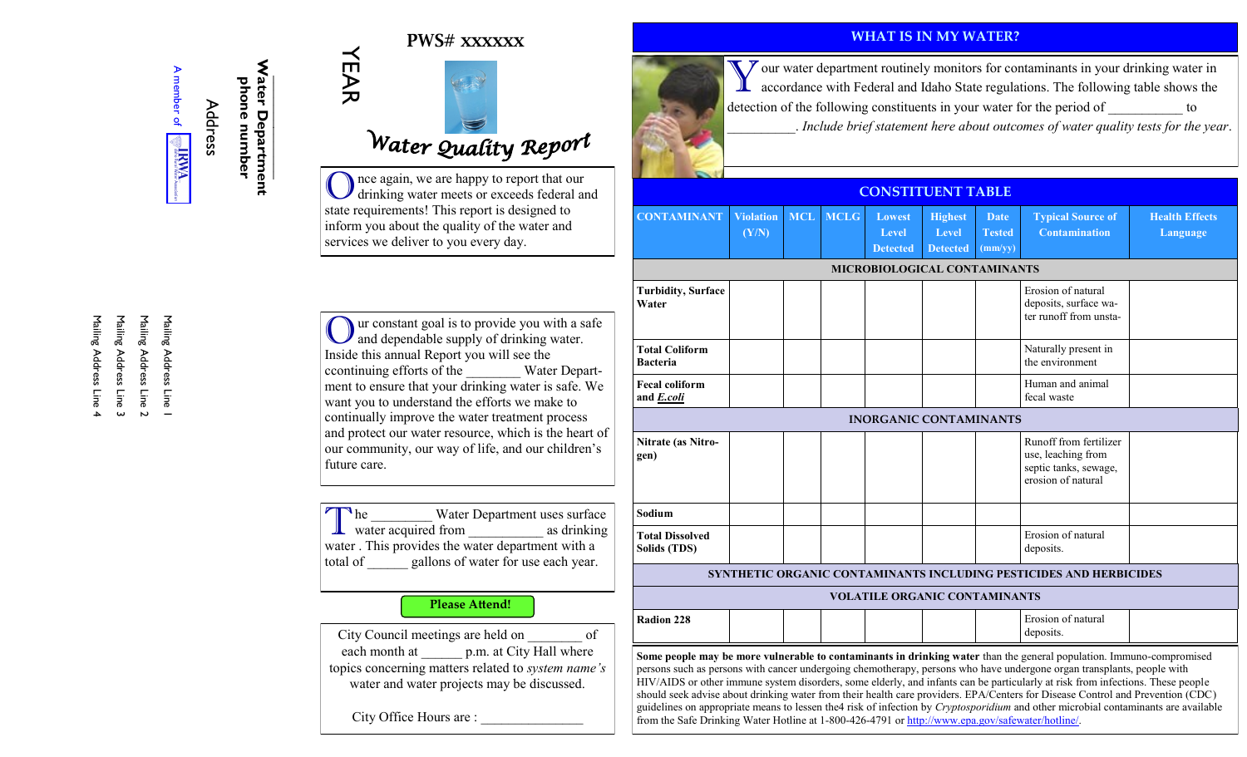#### **PWS# xxxxxx**



Address **\_\_\_\_\_\_\_\_\_\_\_\_\_\_ Water Department phone number** 

YEAR

# Water Quality Report

Once again, we are happy to report that our drinking water meets or exceeds federal and state requirements! This report is designed to inform you about the quality of the water and services we deliver to you every day.

Uur constant goal is to provide you with a safe and dependable supply of drinking water. Inside this annual Report you will see the ccontinuing efforts of the \_\_\_\_\_\_\_\_ Water Department to ensure that your drinking water is safe. We want you to understand the efforts we make to continually improve the water treatment process and protect our water resource, which is the heart of our community, our way of life, and our children's future care.

T water acquired from \_\_\_\_\_\_\_\_\_\_\_ as drinking  $\mathbb{R}$  he Water Department uses surface water . This provides the water department with a total of gallons of water for use each year.

#### **Please Attend!**

City Council meetings are held on \_\_\_\_\_\_\_\_ of each month at  $p.m.$  at City Hall where topics concerning matters related to *system name's*  water and water projects may be discussed.

City Office Hours are :

#### **WHAT IS IN MY WATER?**



#### **CONSTITUENT TABLE**

| <b>CONTAMINANT</b>                                                                                                                                                                                                                                                                                                                                                                                                                                                                                                                                                                                                                                                                                                                                           | <b>Violation</b><br>(Y/N) | <b>MCL</b> | <b>MCLG</b> | Lowest<br>Level<br><b>Detected</b> | <b>Highest</b><br>Level<br><b>Detected</b> | <b>Date</b><br><b>Tested</b><br>(mm/yy) | <b>Typical Source of</b><br><b>Contamination</b>                                            | <b>Health Effects</b><br>Language |
|--------------------------------------------------------------------------------------------------------------------------------------------------------------------------------------------------------------------------------------------------------------------------------------------------------------------------------------------------------------------------------------------------------------------------------------------------------------------------------------------------------------------------------------------------------------------------------------------------------------------------------------------------------------------------------------------------------------------------------------------------------------|---------------------------|------------|-------------|------------------------------------|--------------------------------------------|-----------------------------------------|---------------------------------------------------------------------------------------------|-----------------------------------|
| MICROBIOLOGICAL CONTAMINANTS                                                                                                                                                                                                                                                                                                                                                                                                                                                                                                                                                                                                                                                                                                                                 |                           |            |             |                                    |                                            |                                         |                                                                                             |                                   |
| <b>Turbidity, Surface</b><br>Water                                                                                                                                                                                                                                                                                                                                                                                                                                                                                                                                                                                                                                                                                                                           |                           |            |             |                                    |                                            |                                         | Erosion of natural<br>deposits, surface wa-<br>ter runoff from unsta-                       |                                   |
| <b>Total Coliform</b><br><b>Bacteria</b>                                                                                                                                                                                                                                                                                                                                                                                                                                                                                                                                                                                                                                                                                                                     |                           |            |             |                                    |                                            |                                         | Naturally present in<br>the environment                                                     |                                   |
| <b>Fecal coliform</b><br>and E.coli                                                                                                                                                                                                                                                                                                                                                                                                                                                                                                                                                                                                                                                                                                                          |                           |            |             |                                    |                                            |                                         | Human and animal<br>fecal waste                                                             |                                   |
| <b>INORGANIC CONTAMINANTS</b>                                                                                                                                                                                                                                                                                                                                                                                                                                                                                                                                                                                                                                                                                                                                |                           |            |             |                                    |                                            |                                         |                                                                                             |                                   |
| Nitrate (as Nitro-<br>gen)                                                                                                                                                                                                                                                                                                                                                                                                                                                                                                                                                                                                                                                                                                                                   |                           |            |             |                                    |                                            |                                         | Runoff from fertilizer<br>use, leaching from<br>septic tanks, sewage,<br>erosion of natural |                                   |
| Sodium                                                                                                                                                                                                                                                                                                                                                                                                                                                                                                                                                                                                                                                                                                                                                       |                           |            |             |                                    |                                            |                                         |                                                                                             |                                   |
| <b>Total Dissolved</b><br>Solids (TDS)                                                                                                                                                                                                                                                                                                                                                                                                                                                                                                                                                                                                                                                                                                                       |                           |            |             |                                    |                                            |                                         | Erosion of natural<br>deposits.                                                             |                                   |
| SYNTHETIC ORGANIC CONTAMINANTS INCLUDING PESTICIDES AND HERBICIDES                                                                                                                                                                                                                                                                                                                                                                                                                                                                                                                                                                                                                                                                                           |                           |            |             |                                    |                                            |                                         |                                                                                             |                                   |
| <b>VOLATILE ORGANIC CONTAMINANTS</b>                                                                                                                                                                                                                                                                                                                                                                                                                                                                                                                                                                                                                                                                                                                         |                           |            |             |                                    |                                            |                                         |                                                                                             |                                   |
| Radion 228                                                                                                                                                                                                                                                                                                                                                                                                                                                                                                                                                                                                                                                                                                                                                   |                           |            |             |                                    |                                            |                                         | Erosion of natural<br>deposits.                                                             |                                   |
| Some people may be more vulnerable to contaminants in drinking water than the general population. Immuno-compromised<br>persons such as persons with cancer undergoing chemotherapy, persons who have undergone organ transplants, people with<br>HIV/AIDS or other immune system disorders, some elderly, and infants can be particularly at risk from infections. These people<br>should seek advise about drinking water from their health care providers. EPA/Centers for Disease Control and Prevention (CDC)<br>guidelines on appropriate means to lessen the4 risk of infection by Cryptosporidium and other microbial contaminants are available<br>from the Safe Drinking Water Hotline at 1-800-426-4791 or http://www.epa.gov/safewater/hotline/. |                           |            |             |                                    |                                            |                                         |                                                                                             |                                   |

Mailing Address Line 2 Mailing Address Line 4 Mailing Address Line 3 Mailing Address Line 3 Mailing Address Line 2 Mailing Address Line 1 Mailing Address Line 1 Mailing Address Line